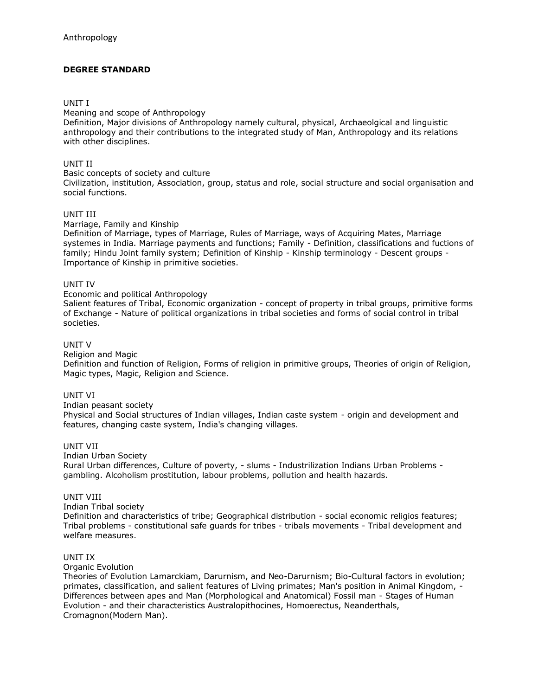# **DEGREE STANDARD**

# UNIT I

Meaning and scope of Anthropology

Definition, Major divisions of Anthropology namely cultural, physical, Archaeolgical and linguistic anthropology and their contributions to the integrated study of Man, Anthropology and its relations with other disciplines.

# UNIT II

Basic concepts of society and culture

Civilization, institution, Association, group, status and role, social structure and social organisation and social functions.

# UNIT III

Marriage, Family and Kinship

Definition of Marriage, types of Marriage, Rules of Marriage, ways of Acquiring Mates, Marriage systemes in India. Marriage payments and functions; Family - Definition, classifications and fuctions of family; Hindu Joint family system; Definition of Kinship - Kinship terminology - Descent groups - Importance of Kinship in primitive societies.

#### UNIT IV

Economic and political Anthropology

Salient features of Tribal, Economic organization - concept of property in tribal groups, primitive forms of Exchange - Nature of political organizations in tribal societies and forms of social control in tribal societies.

# UNIT V

Religion and Magic

Definition and function of Religion, Forms of religion in primitive groups, Theories of origin of Religion, Magic types, Magic, Religion and Science.

#### UNIT VI

Indian peasant society

Physical and Social structures of Indian villages, Indian caste system - origin and development and features, changing caste system, India's changing villages.

# UNIT VII

Indian Urban Society

Rural Urban differences, Culture of poverty, - slums - Industrilization Indians Urban Problems gambling. Alcoholism prostitution, labour problems, pollution and health hazards.

# UNIT VIII

Indian Tribal society

Definition and characteristics of tribe; Geographical distribution - social economic religios features; Tribal problems - constitutional safe guards for tribes - tribals movements - Tribal development and welfare measures.

#### UNIT IX

Organic Evolution

Theories of Evolution Lamarckiam, Darurnism, and Neo-Darurnism; Bio-Cultural factors in evolution; primates, classification, and salient features of Living primates; Man's position in Animal Kingdom, - Differences between apes and Man (Morphological and Anatomical) Fossil man - Stages of Human Evolution - and their characteristics Australopithocines, Homoerectus, Neanderthals, Cromagnon(Modern Man).